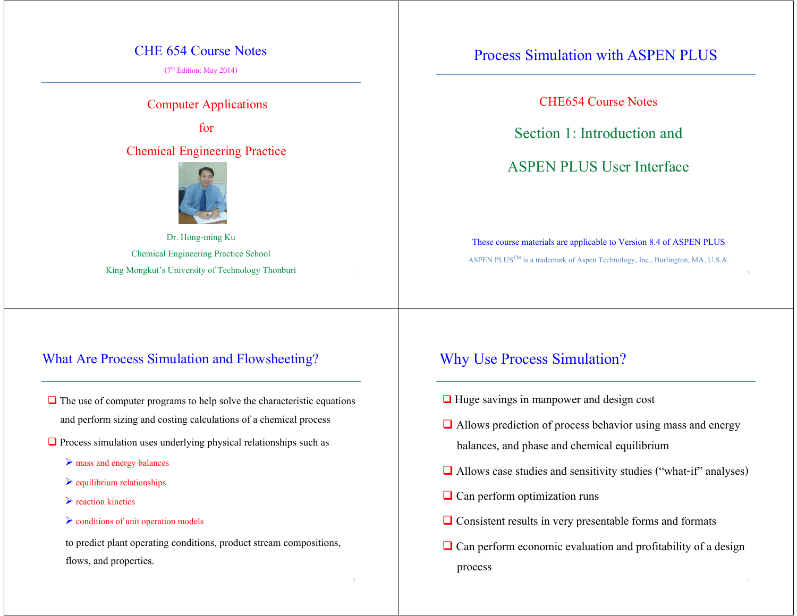#### CHE 654 Course Notes

 $(7<sup>th</sup> Edition: May 2014)$ 

Computer Applications

for

Chemical Engineering Practice



Dr. Hong-ming Ku Chemical Engineering Practice School King Mongkut's University of Technology Thonburi

#### What Are Process Simulation and Flowsheeting?

- $\Box$  The use of computer programs to help solve the characteristic equations and perform sizing and costing calculations of a chemical process
- $\Box$  Process simulation uses underlying physical relationships such as
	- mass and energy balances
	- $\triangleright$  equilibrium relationships
	- $\blacktriangleright$  reaction kinetics
	- $\triangleright$  conditions of unit operation models

 to predict plant operating conditions, product stream compositions, flows, and properties.

# Process Simulation with ASPEN PLUS

CHE654 Course Notes

Section 1: Introduction and

ASPEN PLUS User Interface

These course materials are applicable to Version 8.4 of ASPEN PLUS ASPEN PLUS<sup>TM</sup> is a trademark of Aspen Technology, Inc., Burlington, MA, U.S.A.

#### Why Use Process Simulation?

- **□** Huge savings in manpower and design cost
- $\Box$  Allows prediction of process behavior using mass and energy balances, and phase and chemical equilibrium
- Allows case studies and sensitivity studies ("what-if" analyses)
- $\Box$  Can perform optimization runs
- **□** Consistent results in very presentable forms and formats
- $\Box$  Can perform economic evaluation and profitability of a design process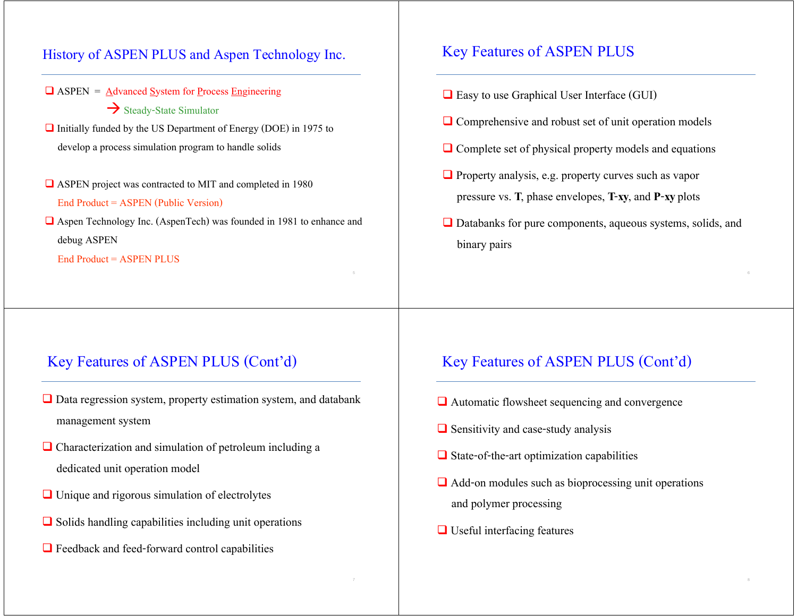#### History of ASPEN PLUS and Aspen Technology Inc.

- $\Box$  ASPEN =  $\triangle$ dvanced System for Process Engineering  $\rightarrow$  Steady-State Simulator
- Initially funded by the US Department of Energy (DOE) in 1975 to develop a process simulation program to handle solids
- ASPEN project was contracted to MIT and completed in 1980 End Product = ASPEN (Public Version)
- Aspen Technology Inc. (AspenTech) was founded in 1981 to enhance and debug ASPEN

End Product = ASPEN PLUS

## Key Features of ASPEN PLUS

- $\Box$  Easy to use Graphical User Interface (GUI)
- **Q** Comprehensive and robust set of unit operation models
- $\Box$  Complete set of physical property models and equations
- **Property analysis, e.g. property curves such as vapor** pressure vs. **T**, phase envelopes, **T**-**xy**, and **P**-**xy** plots
- **□** Databanks for pure components, aqueous systems, solids, and binary pairs

#### Key Features of ASPEN PLUS (Cont'd)

- Data regression system, property estimation system, and databank management system
- $\Box$  Characterization and simulation of petroleum including a dedicated unit operation model
- $\Box$  Unique and rigorous simulation of electrolytes
- $\Box$  Solids handling capabilities including unit operations
- **□** Feedback and feed-forward control capabilities

#### Key Features of ASPEN PLUS (Cont'd)

- Automatic flowsheet sequencing and convergence
- $\Box$  Sensitivity and case-study analysis
- $\Box$  State-of-the-art optimization capabilities
- $\Box$  Add-on modules such as bioprocessing unit operations and polymer processing
- **□** Useful interfacing features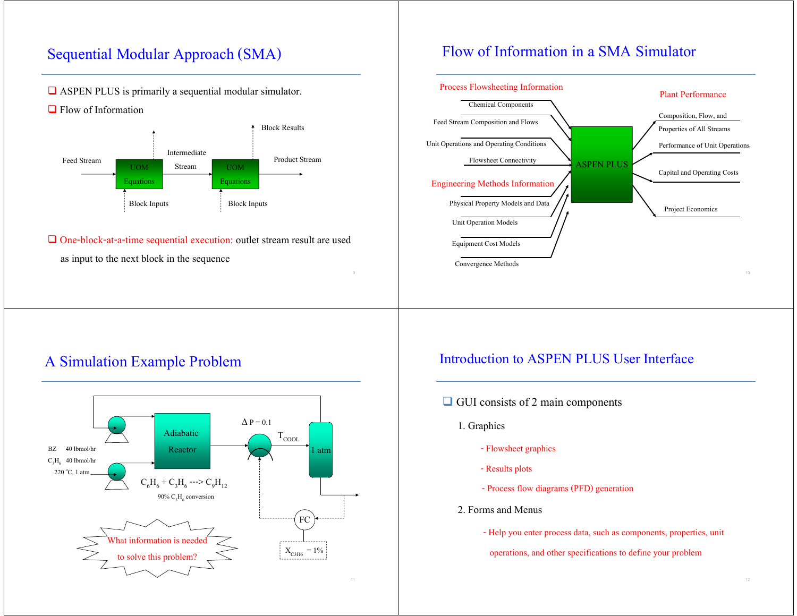# Sequential Modular Approach (SMA)

#### ASPEN PLUS is primarily a sequential modular simulator.

 $\Box$  Flow of Information



 One-block-at-a-time sequential execution: outlet stream result are used as input to the next block in the sequence

## Flow of Information in a SMA Simulator



# A Simulation Example Problem



#### Introduction to ASPEN PLUS User Interface

- $\Box$  GUI consists of 2 main components
	- 1. Graphics
		- Flowsheet graphics
		- Results plots
		- Process flow diagrams (PFD) generation
	- 2. Forms and Menus
		- Help you enter process data, such as components, properties, unit
		- operations, and other specifications to define your problem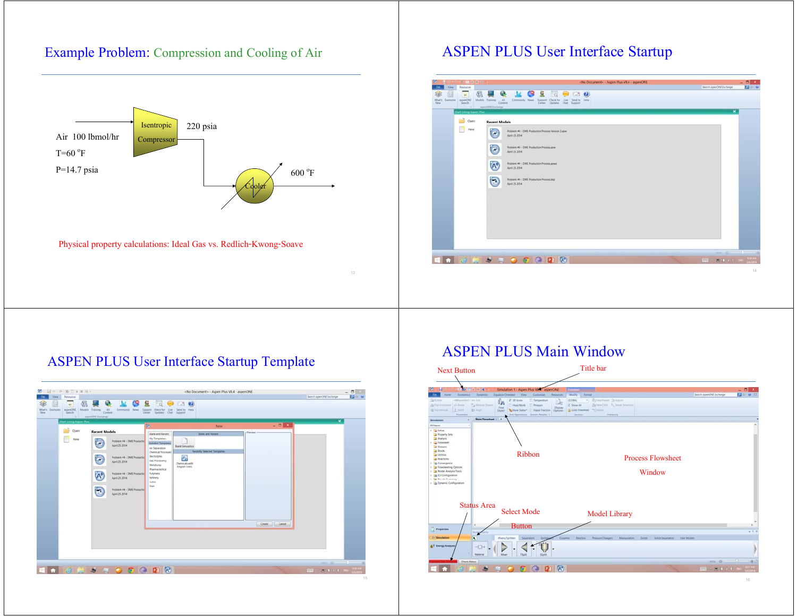#### Example Problem: Compression and Cooling of Air



13

Physical property calculations: Ideal Gas vs. Redlich-Kwong-Soave

### ASPEN PLUS User Interface Startup



#### ASPEN PLUS User Interface Startup Template



#### ASPEN PLUS Main Window

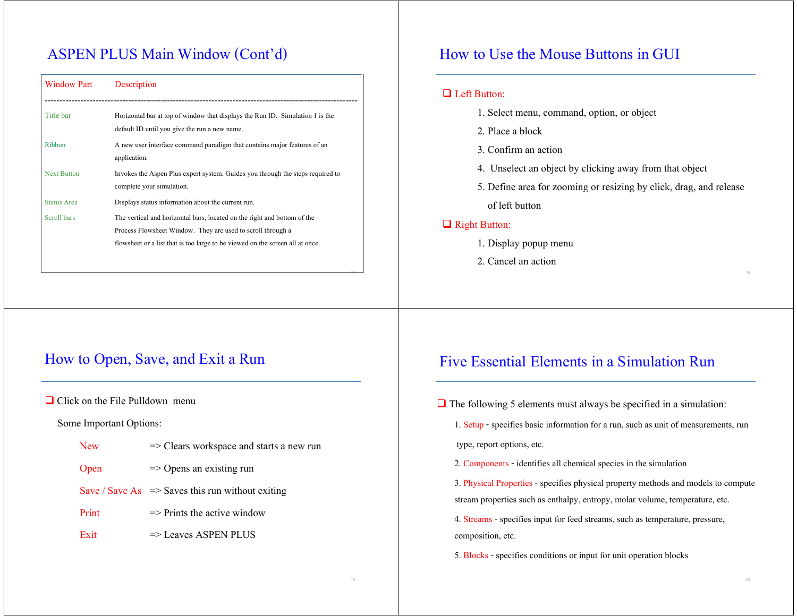# ASPEN PLUS Main Window (Cont'd)

| <b>Window Part</b> | Description                                                                                                                                                                                                              |
|--------------------|--------------------------------------------------------------------------------------------------------------------------------------------------------------------------------------------------------------------------|
| Title bar          | Horizontal bar at top of window that displays the Run ID. Simulation 1 is the<br>default ID until you give the run a new name.                                                                                           |
| Ribbon             | A new user interface command paradigm that contains major features of an<br>application.                                                                                                                                 |
| <b>Next Button</b> | Invokes the Aspen Plus expert system. Guides you through the steps required to<br>complete your simulation.                                                                                                              |
| <b>Status Area</b> | Displays status information about the current run.                                                                                                                                                                       |
| Scroll bars        | The vertical and horizontal bars, located on the right and bottom of the<br>Process Flowsheet Window. They are used to scroll through a<br>flowsheet or a list that is too large to be viewed on the screen all at once. |

### How to Use the Mouse Buttons in GUI

#### **Left Button:**

- 1. Select menu, command, option, or object
- 2. Place a block
- 3. Confirm an action
- 4. Unselect an object by clicking away from that object
- 5. Define area for zooming or resizing by click, drag, and release

of left button

#### Right Button:

- 1. Display popup menu
- 2. Cancel an action

#### How to Open, Save, and Exit a Run

 $\Box$  Click on the File Pulldown menu

Some Important Options:

| New  | $\Rightarrow$ Clears workspace and starts a new run |
|------|-----------------------------------------------------|
| Open | $\Rightarrow$ Opens an existing run                 |

- Save / Save As  $\Rightarrow$  Saves this run without exiting
- Print  $\Rightarrow$  Prints the active window
- $\text{Exit} \implies \text{Leaves} \text{ ASPEN} \text{ PLUS}$

#### Five Essential Elements in a Simulation Run

 $\Box$  The following 5 elements must always be specified in a simulation:

1. Setup - specifies basic information for a run, such as unit of measurements, run type, report options, etc.

2. Components - identifies all chemical species in the simulation

3. Physical Properties - specifies physical property methods and models to compute stream properties such as enthalpy, entropy, molar volume, temperature, etc.

4. Streams - specifies input for feed streams, such as temperature, pressure, composition, etc.

5. Blocks - specifies conditions or input for unit operation blocks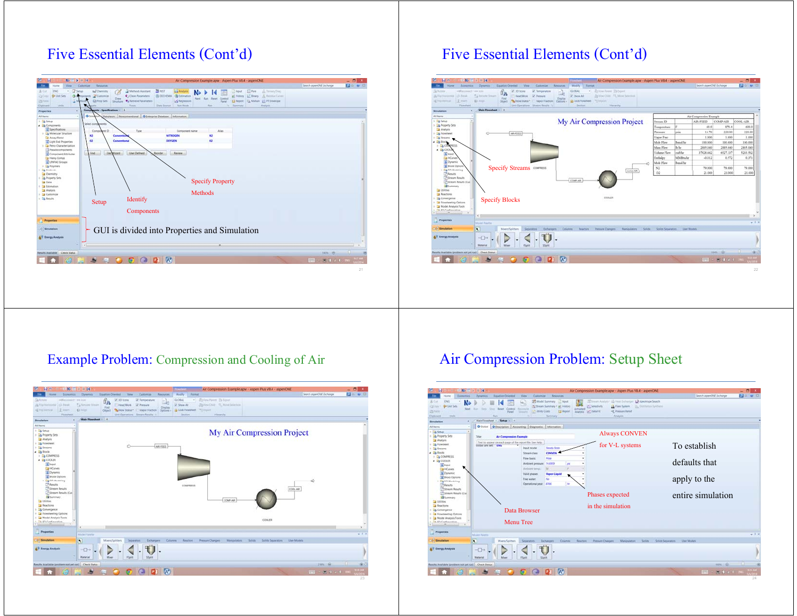# Five Essential Elements (Cont'd)



# Five Essential Elements (Cont'd)



#### Example Problem: Compression and Cooling of Air



# Air Compression Problem: Setup Sheet

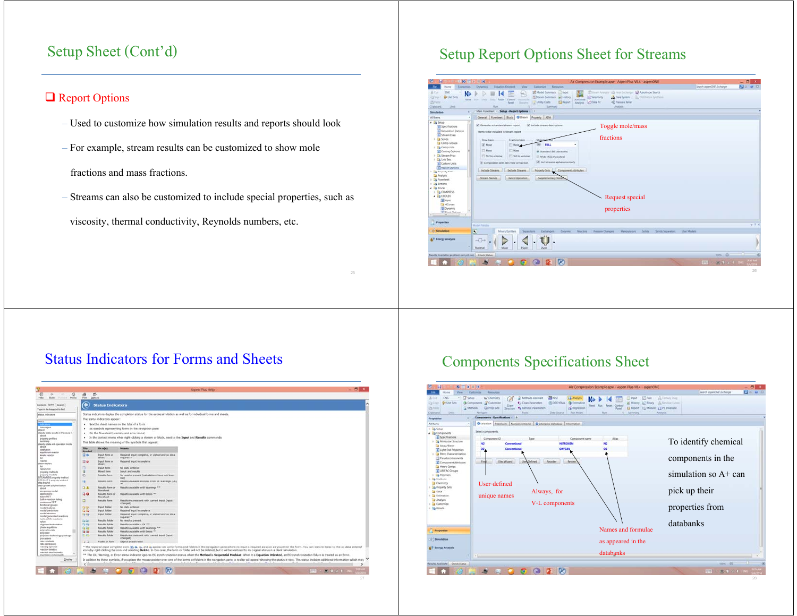## Setup Sheet (Cont'd)

#### **□** Report Options

- Used to customize how simulation results and reports should look
- For example, stream results can be customized to show mole fractions and mass fractions.
	- Streams can also be customized to include special properties, such as

viscosity, thermal conductivity, Reynolds numbers, etc.

# Setup Report Options Sheet for Streams



# Status Indicators for Forms and Sheets

| 郡<br>ø<br>$\ddot{\alpha}$<br>ă<br>710<br>Back:<br>Funnill Home<br>Post<br>Options<br><b>Status Indicators</b><br>Cornetts, Index (Search)<br>Type in the haygord to find:<br>Status indicators deplay the completion status for the entire simulation as well as for individual forms and sheets.<br>status, enforators<br>The status indicators appear:<br>Next to sheet names on the tabs of a form<br>٠<br>messages<br>As symbols representing forms in the navigation pane<br>٠<br>steady state results in Pressure F.<br>On the flowsheet (warning and error icons)<br>٠<br>about<br>. In the context menu when right-clicking a stream or block, next to the lagest and Results commands<br>property profiles<br>summary<br>This table shows the meaning of the symbols that appear:<br>steachy state whil operation mode<br>shout<br>On n(n)<br><b>Matana</b><br><b>This</b><br>detailed<br>Symbol<br>equilibrium searche<br>EO<br><b>Snjivit Form or</b><br>Required input complete, or visited and no data.<br>kinetic reactor<br>required."<br>abset.<br>reactor<br>回る<br><b>Shiput form on</b><br>Required input incomplete<br>steam tables<br>sheet<br>ы<br><b>Shpurt Form</b><br>No data entered<br>NOSN/AC<br>$\overline{a}$<br><b>Mixed form</b><br><b>Imput and results</b><br>property methods<br>ø<br>property models<br><b>Besults form</b><br>No results present (calculations have not been<br>STEAMPASS property traditof<br>man)<br>STEAM TA properly method<br>面<br><b>Results form</b><br>Assults available without firms or Warnings (OK)<br>step bound<br>step-growth polymerization<br>21<br><b>Results form or</b><br><b>Results available with Warnings PX</b><br>about.<br><b>Busistwet</b><br>accessing trodel<br>30<br><b>RAILING RANK OF</b><br>applications<br>Results available with Errors **<br>habit PET<br>Roughast<br><b>Dush in reaction leaking</b><br>э<br><b>Results form</b><br>Results inconsistent with current input (input)<br>continuous PET<br>changed).<br>functional geogra<br>No data entered<br><b><i>Sheuit Folder</i></b><br><b>Calla</b><br>model features<br>medal predictions<br><b>Sharuff</b> Fulder<br><b>CA HO</b><br>Request your incomplete<br>model sturture<br>DS RB<br><b>Tripiul Polities</b><br>Required input complete, or winited and no data<br>model-ganerated reactions<br>required *<br>nucleophilic reactions<br><b>Calle</b><br><b>Results Solder</b><br>No nesults present:<br>mylant<br><b>Bandra folder</b><br>以值<br>Results available - OK TT<br>oligomet fractionation<br>phase equilibria<br><b>Callie</b><br><b>Results folder</b><br>Results available with Warnings **<br>pickycadooniste<br><b>Taila</b><br><b>Results Auber</b><br>Results available with foreig **<br>polyester<br>血管<br><b>Results folder</b><br>Results inconsistent with current input (input)<br>polyester technology package<br>(changed)<br>procurates.<br>rate <i>Londario</i><br>Folder or form<br><b>Chiect deactivated</b><br>47.4<br>rate expression<br>* The required input complete icons (ii), g. [ig, and ig appear on some forms and folders in the navigation pane where no input is required as soon as you enter the form. You can restore these to the no data entered<br>reacting species<br>reaction kinetics<br>icons by right-clicking the icon and selecting Delete. In this case, the form or folder will not be deleted, but it will be restored to its original status in a blank simulation.<br>reaction stochaometry<br>** The OK, Warning, or Error status indicator ignores EO synchronization status when the Method is Sequential Modular. When it is Equation Oriented, an EO synchronization fallure is treated as an Error.<br>sner Pulset components<br>In addition to these symbols, if you place the mouse pointer over one of the forms or folders in the navigation pane, a toolto will appear showing the status in text. This status includes additional information which may<br>Disting | - 6 ×        |                                | <b>Aspen Plus Help</b> |  |  |  |
|---------------------------------------------------------------------------------------------------------------------------------------------------------------------------------------------------------------------------------------------------------------------------------------------------------------------------------------------------------------------------------------------------------------------------------------------------------------------------------------------------------------------------------------------------------------------------------------------------------------------------------------------------------------------------------------------------------------------------------------------------------------------------------------------------------------------------------------------------------------------------------------------------------------------------------------------------------------------------------------------------------------------------------------------------------------------------------------------------------------------------------------------------------------------------------------------------------------------------------------------------------------------------------------------------------------------------------------------------------------------------------------------------------------------------------------------------------------------------------------------------------------------------------------------------------------------------------------------------------------------------------------------------------------------------------------------------------------------------------------------------------------------------------------------------------------------------------------------------------------------------------------------------------------------------------------------------------------------------------------------------------------------------------------------------------------------------------------------------------------------------------------------------------------------------------------------------------------------------------------------------------------------------------------------------------------------------------------------------------------------------------------------------------------------------------------------------------------------------------------------------------------------------------------------------------------------------------------------------------------------------------------------------------------------------------------------------------------------------------------------------------------------------------------------------------------------------------------------------------------------------------------------------------------------------------------------------------------------------------------------------------------------------------------------------------------------------------------------------------------------------------------------------------------------------------------------------------------------------------------------------------------------------------------------------------------------------------------------------------------------------------------------------------------------------------------------------------------------------------------------------------------------------------------------------------------------------------------------------------------------------------------------------------------------------------------------------------------------------------------------------------------------------------------------------------------------------------------------------------------------------------------------------------------------------------------------------------------------------------------------------|--------------|--------------------------------|------------------------|--|--|--|
|                                                                                                                                                                                                                                                                                                                                                                                                                                                                                                                                                                                                                                                                                                                                                                                                                                                                                                                                                                                                                                                                                                                                                                                                                                                                                                                                                                                                                                                                                                                                                                                                                                                                                                                                                                                                                                                                                                                                                                                                                                                                                                                                                                                                                                                                                                                                                                                                                                                                                                                                                                                                                                                                                                                                                                                                                                                                                                                                                                                                                                                                                                                                                                                                                                                                                                                                                                                                                                                                                                                                                                                                                                                                                                                                                                                                                                                                                                                                                                                                   |              |                                |                        |  |  |  |
|                                                                                                                                                                                                                                                                                                                                                                                                                                                                                                                                                                                                                                                                                                                                                                                                                                                                                                                                                                                                                                                                                                                                                                                                                                                                                                                                                                                                                                                                                                                                                                                                                                                                                                                                                                                                                                                                                                                                                                                                                                                                                                                                                                                                                                                                                                                                                                                                                                                                                                                                                                                                                                                                                                                                                                                                                                                                                                                                                                                                                                                                                                                                                                                                                                                                                                                                                                                                                                                                                                                                                                                                                                                                                                                                                                                                                                                                                                                                                                                                   |              |                                |                        |  |  |  |
|                                                                                                                                                                                                                                                                                                                                                                                                                                                                                                                                                                                                                                                                                                                                                                                                                                                                                                                                                                                                                                                                                                                                                                                                                                                                                                                                                                                                                                                                                                                                                                                                                                                                                                                                                                                                                                                                                                                                                                                                                                                                                                                                                                                                                                                                                                                                                                                                                                                                                                                                                                                                                                                                                                                                                                                                                                                                                                                                                                                                                                                                                                                                                                                                                                                                                                                                                                                                                                                                                                                                                                                                                                                                                                                                                                                                                                                                                                                                                                                                   |              |                                |                        |  |  |  |
|                                                                                                                                                                                                                                                                                                                                                                                                                                                                                                                                                                                                                                                                                                                                                                                                                                                                                                                                                                                                                                                                                                                                                                                                                                                                                                                                                                                                                                                                                                                                                                                                                                                                                                                                                                                                                                                                                                                                                                                                                                                                                                                                                                                                                                                                                                                                                                                                                                                                                                                                                                                                                                                                                                                                                                                                                                                                                                                                                                                                                                                                                                                                                                                                                                                                                                                                                                                                                                                                                                                                                                                                                                                                                                                                                                                                                                                                                                                                                                                                   |              |                                |                        |  |  |  |
|                                                                                                                                                                                                                                                                                                                                                                                                                                                                                                                                                                                                                                                                                                                                                                                                                                                                                                                                                                                                                                                                                                                                                                                                                                                                                                                                                                                                                                                                                                                                                                                                                                                                                                                                                                                                                                                                                                                                                                                                                                                                                                                                                                                                                                                                                                                                                                                                                                                                                                                                                                                                                                                                                                                                                                                                                                                                                                                                                                                                                                                                                                                                                                                                                                                                                                                                                                                                                                                                                                                                                                                                                                                                                                                                                                                                                                                                                                                                                                                                   |              |                                |                        |  |  |  |
|                                                                                                                                                                                                                                                                                                                                                                                                                                                                                                                                                                                                                                                                                                                                                                                                                                                                                                                                                                                                                                                                                                                                                                                                                                                                                                                                                                                                                                                                                                                                                                                                                                                                                                                                                                                                                                                                                                                                                                                                                                                                                                                                                                                                                                                                                                                                                                                                                                                                                                                                                                                                                                                                                                                                                                                                                                                                                                                                                                                                                                                                                                                                                                                                                                                                                                                                                                                                                                                                                                                                                                                                                                                                                                                                                                                                                                                                                                                                                                                                   |              |                                |                        |  |  |  |
|                                                                                                                                                                                                                                                                                                                                                                                                                                                                                                                                                                                                                                                                                                                                                                                                                                                                                                                                                                                                                                                                                                                                                                                                                                                                                                                                                                                                                                                                                                                                                                                                                                                                                                                                                                                                                                                                                                                                                                                                                                                                                                                                                                                                                                                                                                                                                                                                                                                                                                                                                                                                                                                                                                                                                                                                                                                                                                                                                                                                                                                                                                                                                                                                                                                                                                                                                                                                                                                                                                                                                                                                                                                                                                                                                                                                                                                                                                                                                                                                   |              |                                |                        |  |  |  |
|                                                                                                                                                                                                                                                                                                                                                                                                                                                                                                                                                                                                                                                                                                                                                                                                                                                                                                                                                                                                                                                                                                                                                                                                                                                                                                                                                                                                                                                                                                                                                                                                                                                                                                                                                                                                                                                                                                                                                                                                                                                                                                                                                                                                                                                                                                                                                                                                                                                                                                                                                                                                                                                                                                                                                                                                                                                                                                                                                                                                                                                                                                                                                                                                                                                                                                                                                                                                                                                                                                                                                                                                                                                                                                                                                                                                                                                                                                                                                                                                   |              |                                |                        |  |  |  |
|                                                                                                                                                                                                                                                                                                                                                                                                                                                                                                                                                                                                                                                                                                                                                                                                                                                                                                                                                                                                                                                                                                                                                                                                                                                                                                                                                                                                                                                                                                                                                                                                                                                                                                                                                                                                                                                                                                                                                                                                                                                                                                                                                                                                                                                                                                                                                                                                                                                                                                                                                                                                                                                                                                                                                                                                                                                                                                                                                                                                                                                                                                                                                                                                                                                                                                                                                                                                                                                                                                                                                                                                                                                                                                                                                                                                                                                                                                                                                                                                   |              |                                |                        |  |  |  |
|                                                                                                                                                                                                                                                                                                                                                                                                                                                                                                                                                                                                                                                                                                                                                                                                                                                                                                                                                                                                                                                                                                                                                                                                                                                                                                                                                                                                                                                                                                                                                                                                                                                                                                                                                                                                                                                                                                                                                                                                                                                                                                                                                                                                                                                                                                                                                                                                                                                                                                                                                                                                                                                                                                                                                                                                                                                                                                                                                                                                                                                                                                                                                                                                                                                                                                                                                                                                                                                                                                                                                                                                                                                                                                                                                                                                                                                                                                                                                                                                   |              |                                |                        |  |  |  |
|                                                                                                                                                                                                                                                                                                                                                                                                                                                                                                                                                                                                                                                                                                                                                                                                                                                                                                                                                                                                                                                                                                                                                                                                                                                                                                                                                                                                                                                                                                                                                                                                                                                                                                                                                                                                                                                                                                                                                                                                                                                                                                                                                                                                                                                                                                                                                                                                                                                                                                                                                                                                                                                                                                                                                                                                                                                                                                                                                                                                                                                                                                                                                                                                                                                                                                                                                                                                                                                                                                                                                                                                                                                                                                                                                                                                                                                                                                                                                                                                   |              |                                |                        |  |  |  |
|                                                                                                                                                                                                                                                                                                                                                                                                                                                                                                                                                                                                                                                                                                                                                                                                                                                                                                                                                                                                                                                                                                                                                                                                                                                                                                                                                                                                                                                                                                                                                                                                                                                                                                                                                                                                                                                                                                                                                                                                                                                                                                                                                                                                                                                                                                                                                                                                                                                                                                                                                                                                                                                                                                                                                                                                                                                                                                                                                                                                                                                                                                                                                                                                                                                                                                                                                                                                                                                                                                                                                                                                                                                                                                                                                                                                                                                                                                                                                                                                   |              |                                |                        |  |  |  |
|                                                                                                                                                                                                                                                                                                                                                                                                                                                                                                                                                                                                                                                                                                                                                                                                                                                                                                                                                                                                                                                                                                                                                                                                                                                                                                                                                                                                                                                                                                                                                                                                                                                                                                                                                                                                                                                                                                                                                                                                                                                                                                                                                                                                                                                                                                                                                                                                                                                                                                                                                                                                                                                                                                                                                                                                                                                                                                                                                                                                                                                                                                                                                                                                                                                                                                                                                                                                                                                                                                                                                                                                                                                                                                                                                                                                                                                                                                                                                                                                   |              |                                |                        |  |  |  |
|                                                                                                                                                                                                                                                                                                                                                                                                                                                                                                                                                                                                                                                                                                                                                                                                                                                                                                                                                                                                                                                                                                                                                                                                                                                                                                                                                                                                                                                                                                                                                                                                                                                                                                                                                                                                                                                                                                                                                                                                                                                                                                                                                                                                                                                                                                                                                                                                                                                                                                                                                                                                                                                                                                                                                                                                                                                                                                                                                                                                                                                                                                                                                                                                                                                                                                                                                                                                                                                                                                                                                                                                                                                                                                                                                                                                                                                                                                                                                                                                   |              |                                |                        |  |  |  |
|                                                                                                                                                                                                                                                                                                                                                                                                                                                                                                                                                                                                                                                                                                                                                                                                                                                                                                                                                                                                                                                                                                                                                                                                                                                                                                                                                                                                                                                                                                                                                                                                                                                                                                                                                                                                                                                                                                                                                                                                                                                                                                                                                                                                                                                                                                                                                                                                                                                                                                                                                                                                                                                                                                                                                                                                                                                                                                                                                                                                                                                                                                                                                                                                                                                                                                                                                                                                                                                                                                                                                                                                                                                                                                                                                                                                                                                                                                                                                                                                   |              |                                |                        |  |  |  |
|                                                                                                                                                                                                                                                                                                                                                                                                                                                                                                                                                                                                                                                                                                                                                                                                                                                                                                                                                                                                                                                                                                                                                                                                                                                                                                                                                                                                                                                                                                                                                                                                                                                                                                                                                                                                                                                                                                                                                                                                                                                                                                                                                                                                                                                                                                                                                                                                                                                                                                                                                                                                                                                                                                                                                                                                                                                                                                                                                                                                                                                                                                                                                                                                                                                                                                                                                                                                                                                                                                                                                                                                                                                                                                                                                                                                                                                                                                                                                                                                   |              |                                |                        |  |  |  |
|                                                                                                                                                                                                                                                                                                                                                                                                                                                                                                                                                                                                                                                                                                                                                                                                                                                                                                                                                                                                                                                                                                                                                                                                                                                                                                                                                                                                                                                                                                                                                                                                                                                                                                                                                                                                                                                                                                                                                                                                                                                                                                                                                                                                                                                                                                                                                                                                                                                                                                                                                                                                                                                                                                                                                                                                                                                                                                                                                                                                                                                                                                                                                                                                                                                                                                                                                                                                                                                                                                                                                                                                                                                                                                                                                                                                                                                                                                                                                                                                   |              |                                |                        |  |  |  |
|                                                                                                                                                                                                                                                                                                                                                                                                                                                                                                                                                                                                                                                                                                                                                                                                                                                                                                                                                                                                                                                                                                                                                                                                                                                                                                                                                                                                                                                                                                                                                                                                                                                                                                                                                                                                                                                                                                                                                                                                                                                                                                                                                                                                                                                                                                                                                                                                                                                                                                                                                                                                                                                                                                                                                                                                                                                                                                                                                                                                                                                                                                                                                                                                                                                                                                                                                                                                                                                                                                                                                                                                                                                                                                                                                                                                                                                                                                                                                                                                   |              |                                |                        |  |  |  |
|                                                                                                                                                                                                                                                                                                                                                                                                                                                                                                                                                                                                                                                                                                                                                                                                                                                                                                                                                                                                                                                                                                                                                                                                                                                                                                                                                                                                                                                                                                                                                                                                                                                                                                                                                                                                                                                                                                                                                                                                                                                                                                                                                                                                                                                                                                                                                                                                                                                                                                                                                                                                                                                                                                                                                                                                                                                                                                                                                                                                                                                                                                                                                                                                                                                                                                                                                                                                                                                                                                                                                                                                                                                                                                                                                                                                                                                                                                                                                                                                   |              |                                |                        |  |  |  |
|                                                                                                                                                                                                                                                                                                                                                                                                                                                                                                                                                                                                                                                                                                                                                                                                                                                                                                                                                                                                                                                                                                                                                                                                                                                                                                                                                                                                                                                                                                                                                                                                                                                                                                                                                                                                                                                                                                                                                                                                                                                                                                                                                                                                                                                                                                                                                                                                                                                                                                                                                                                                                                                                                                                                                                                                                                                                                                                                                                                                                                                                                                                                                                                                                                                                                                                                                                                                                                                                                                                                                                                                                                                                                                                                                                                                                                                                                                                                                                                                   |              |                                |                        |  |  |  |
|                                                                                                                                                                                                                                                                                                                                                                                                                                                                                                                                                                                                                                                                                                                                                                                                                                                                                                                                                                                                                                                                                                                                                                                                                                                                                                                                                                                                                                                                                                                                                                                                                                                                                                                                                                                                                                                                                                                                                                                                                                                                                                                                                                                                                                                                                                                                                                                                                                                                                                                                                                                                                                                                                                                                                                                                                                                                                                                                                                                                                                                                                                                                                                                                                                                                                                                                                                                                                                                                                                                                                                                                                                                                                                                                                                                                                                                                                                                                                                                                   |              |                                |                        |  |  |  |
|                                                                                                                                                                                                                                                                                                                                                                                                                                                                                                                                                                                                                                                                                                                                                                                                                                                                                                                                                                                                                                                                                                                                                                                                                                                                                                                                                                                                                                                                                                                                                                                                                                                                                                                                                                                                                                                                                                                                                                                                                                                                                                                                                                                                                                                                                                                                                                                                                                                                                                                                                                                                                                                                                                                                                                                                                                                                                                                                                                                                                                                                                                                                                                                                                                                                                                                                                                                                                                                                                                                                                                                                                                                                                                                                                                                                                                                                                                                                                                                                   |              |                                |                        |  |  |  |
|                                                                                                                                                                                                                                                                                                                                                                                                                                                                                                                                                                                                                                                                                                                                                                                                                                                                                                                                                                                                                                                                                                                                                                                                                                                                                                                                                                                                                                                                                                                                                                                                                                                                                                                                                                                                                                                                                                                                                                                                                                                                                                                                                                                                                                                                                                                                                                                                                                                                                                                                                                                                                                                                                                                                                                                                                                                                                                                                                                                                                                                                                                                                                                                                                                                                                                                                                                                                                                                                                                                                                                                                                                                                                                                                                                                                                                                                                                                                                                                                   |              |                                |                        |  |  |  |
|                                                                                                                                                                                                                                                                                                                                                                                                                                                                                                                                                                                                                                                                                                                                                                                                                                                                                                                                                                                                                                                                                                                                                                                                                                                                                                                                                                                                                                                                                                                                                                                                                                                                                                                                                                                                                                                                                                                                                                                                                                                                                                                                                                                                                                                                                                                                                                                                                                                                                                                                                                                                                                                                                                                                                                                                                                                                                                                                                                                                                                                                                                                                                                                                                                                                                                                                                                                                                                                                                                                                                                                                                                                                                                                                                                                                                                                                                                                                                                                                   |              |                                |                        |  |  |  |
|                                                                                                                                                                                                                                                                                                                                                                                                                                                                                                                                                                                                                                                                                                                                                                                                                                                                                                                                                                                                                                                                                                                                                                                                                                                                                                                                                                                                                                                                                                                                                                                                                                                                                                                                                                                                                                                                                                                                                                                                                                                                                                                                                                                                                                                                                                                                                                                                                                                                                                                                                                                                                                                                                                                                                                                                                                                                                                                                                                                                                                                                                                                                                                                                                                                                                                                                                                                                                                                                                                                                                                                                                                                                                                                                                                                                                                                                                                                                                                                                   |              |                                |                        |  |  |  |
|                                                                                                                                                                                                                                                                                                                                                                                                                                                                                                                                                                                                                                                                                                                                                                                                                                                                                                                                                                                                                                                                                                                                                                                                                                                                                                                                                                                                                                                                                                                                                                                                                                                                                                                                                                                                                                                                                                                                                                                                                                                                                                                                                                                                                                                                                                                                                                                                                                                                                                                                                                                                                                                                                                                                                                                                                                                                                                                                                                                                                                                                                                                                                                                                                                                                                                                                                                                                                                                                                                                                                                                                                                                                                                                                                                                                                                                                                                                                                                                                   |              |                                |                        |  |  |  |
|                                                                                                                                                                                                                                                                                                                                                                                                                                                                                                                                                                                                                                                                                                                                                                                                                                                                                                                                                                                                                                                                                                                                                                                                                                                                                                                                                                                                                                                                                                                                                                                                                                                                                                                                                                                                                                                                                                                                                                                                                                                                                                                                                                                                                                                                                                                                                                                                                                                                                                                                                                                                                                                                                                                                                                                                                                                                                                                                                                                                                                                                                                                                                                                                                                                                                                                                                                                                                                                                                                                                                                                                                                                                                                                                                                                                                                                                                                                                                                                                   |              |                                |                        |  |  |  |
|                                                                                                                                                                                                                                                                                                                                                                                                                                                                                                                                                                                                                                                                                                                                                                                                                                                                                                                                                                                                                                                                                                                                                                                                                                                                                                                                                                                                                                                                                                                                                                                                                                                                                                                                                                                                                                                                                                                                                                                                                                                                                                                                                                                                                                                                                                                                                                                                                                                                                                                                                                                                                                                                                                                                                                                                                                                                                                                                                                                                                                                                                                                                                                                                                                                                                                                                                                                                                                                                                                                                                                                                                                                                                                                                                                                                                                                                                                                                                                                                   |              |                                |                        |  |  |  |
|                                                                                                                                                                                                                                                                                                                                                                                                                                                                                                                                                                                                                                                                                                                                                                                                                                                                                                                                                                                                                                                                                                                                                                                                                                                                                                                                                                                                                                                                                                                                                                                                                                                                                                                                                                                                                                                                                                                                                                                                                                                                                                                                                                                                                                                                                                                                                                                                                                                                                                                                                                                                                                                                                                                                                                                                                                                                                                                                                                                                                                                                                                                                                                                                                                                                                                                                                                                                                                                                                                                                                                                                                                                                                                                                                                                                                                                                                                                                                                                                   |              |                                |                        |  |  |  |
|                                                                                                                                                                                                                                                                                                                                                                                                                                                                                                                                                                                                                                                                                                                                                                                                                                                                                                                                                                                                                                                                                                                                                                                                                                                                                                                                                                                                                                                                                                                                                                                                                                                                                                                                                                                                                                                                                                                                                                                                                                                                                                                                                                                                                                                                                                                                                                                                                                                                                                                                                                                                                                                                                                                                                                                                                                                                                                                                                                                                                                                                                                                                                                                                                                                                                                                                                                                                                                                                                                                                                                                                                                                                                                                                                                                                                                                                                                                                                                                                   |              |                                |                        |  |  |  |
|                                                                                                                                                                                                                                                                                                                                                                                                                                                                                                                                                                                                                                                                                                                                                                                                                                                                                                                                                                                                                                                                                                                                                                                                                                                                                                                                                                                                                                                                                                                                                                                                                                                                                                                                                                                                                                                                                                                                                                                                                                                                                                                                                                                                                                                                                                                                                                                                                                                                                                                                                                                                                                                                                                                                                                                                                                                                                                                                                                                                                                                                                                                                                                                                                                                                                                                                                                                                                                                                                                                                                                                                                                                                                                                                                                                                                                                                                                                                                                                                   |              |                                |                        |  |  |  |
|                                                                                                                                                                                                                                                                                                                                                                                                                                                                                                                                                                                                                                                                                                                                                                                                                                                                                                                                                                                                                                                                                                                                                                                                                                                                                                                                                                                                                                                                                                                                                                                                                                                                                                                                                                                                                                                                                                                                                                                                                                                                                                                                                                                                                                                                                                                                                                                                                                                                                                                                                                                                                                                                                                                                                                                                                                                                                                                                                                                                                                                                                                                                                                                                                                                                                                                                                                                                                                                                                                                                                                                                                                                                                                                                                                                                                                                                                                                                                                                                   |              |                                |                        |  |  |  |
|                                                                                                                                                                                                                                                                                                                                                                                                                                                                                                                                                                                                                                                                                                                                                                                                                                                                                                                                                                                                                                                                                                                                                                                                                                                                                                                                                                                                                                                                                                                                                                                                                                                                                                                                                                                                                                                                                                                                                                                                                                                                                                                                                                                                                                                                                                                                                                                                                                                                                                                                                                                                                                                                                                                                                                                                                                                                                                                                                                                                                                                                                                                                                                                                                                                                                                                                                                                                                                                                                                                                                                                                                                                                                                                                                                                                                                                                                                                                                                                                   |              |                                |                        |  |  |  |
| e                                                                                                                                                                                                                                                                                                                                                                                                                                                                                                                                                                                                                                                                                                                                                                                                                                                                                                                                                                                                                                                                                                                                                                                                                                                                                                                                                                                                                                                                                                                                                                                                                                                                                                                                                                                                                                                                                                                                                                                                                                                                                                                                                                                                                                                                                                                                                                                                                                                                                                                                                                                                                                                                                                                                                                                                                                                                                                                                                                                                                                                                                                                                                                                                                                                                                                                                                                                                                                                                                                                                                                                                                                                                                                                                                                                                                                                                                                                                                                                                 | $\mathbf{v}$ |                                |                        |  |  |  |
|                                                                                                                                                                                                                                                                                                                                                                                                                                                                                                                                                                                                                                                                                                                                                                                                                                                                                                                                                                                                                                                                                                                                                                                                                                                                                                                                                                                                                                                                                                                                                                                                                                                                                                                                                                                                                                                                                                                                                                                                                                                                                                                                                                                                                                                                                                                                                                                                                                                                                                                                                                                                                                                                                                                                                                                                                                                                                                                                                                                                                                                                                                                                                                                                                                                                                                                                                                                                                                                                                                                                                                                                                                                                                                                                                                                                                                                                                                                                                                                                   |              |                                |                        |  |  |  |
|                                                                                                                                                                                                                                                                                                                                                                                                                                                                                                                                                                                                                                                                                                                                                                                                                                                                                                                                                                                                                                                                                                                                                                                                                                                                                                                                                                                                                                                                                                                                                                                                                                                                                                                                                                                                                                                                                                                                                                                                                                                                                                                                                                                                                                                                                                                                                                                                                                                                                                                                                                                                                                                                                                                                                                                                                                                                                                                                                                                                                                                                                                                                                                                                                                                                                                                                                                                                                                                                                                                                                                                                                                                                                                                                                                                                                                                                                                                                                                                                   |              | <b>SWEET AND REPORT OF THE</b> |                        |  |  |  |

# Components Specifications Sheet

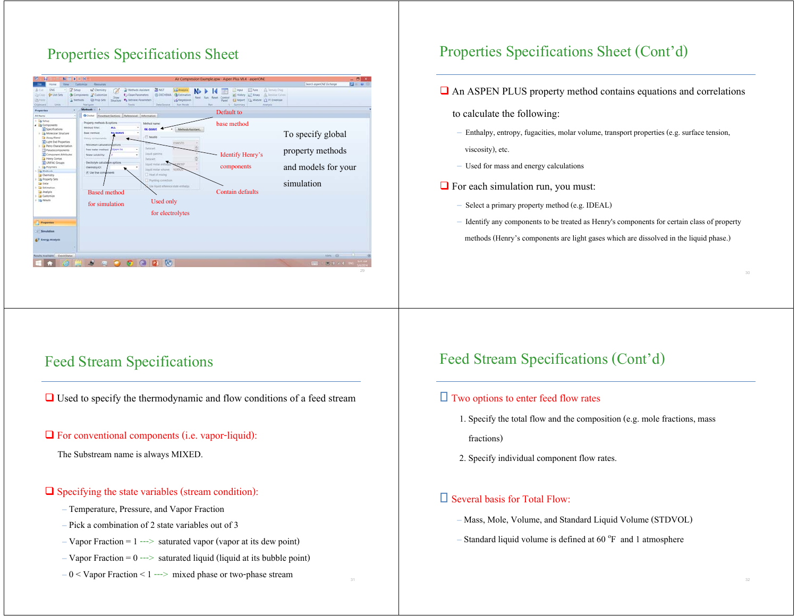# Properties Specifications Sheet



### Properties Specifications Sheet (Cont'd)

- An ASPEN PLUS property method contains equations and correlations
	- to calculate the following:
	- Enthalpy, entropy, fugacities, molar volume, transport properties (e.g. surface tension, viscosity), etc.
	- Used for mass and energy calculations
- $\Box$  For each simulation run, you must:
	- Select a primary property method (e.g. IDEAL)
	- Identify any components to be treated as Henry's components for certain class of property methods (Henry's components are light gases which are dissolved in the liquid phase.)

#### Feed Stream Specifications

Used to specify the thermodynamic and flow conditions of a feed stream

#### $\Box$  For conventional components (i.e. vapor-liquid):

The Substream name is always MIXED.

#### $\Box$  Specifying the state variables (stream condition):

- Temperature, Pressure, and Vapor Fraction
- Pick a combination of 2 state variables out of 3
- $-V$ apor Fraction = 1 ---> saturated vapor (vapor at its dew point)
- $-V$ apor Fraction = 0 ---> saturated liquid (liquid at its bubble point)
- $-0 <$  Vapor Fraction  $< 1$  ---> mixed phase or two-phase stream

## Feed Stream Specifications (Cont'd)

#### $\Box$  Two options to enter feed flow rates

1. Specify the total flow and the composition (e.g. mole fractions, mass

fractions)

2. Specify individual component flow rates.

#### $\square$  Several basis for Total Flow:

- Mass, Mole, Volume, and Standard Liquid Volume (STDVOL)
- Standard liquid volume is defined at  $60^{\circ}$ F and 1 atmosphere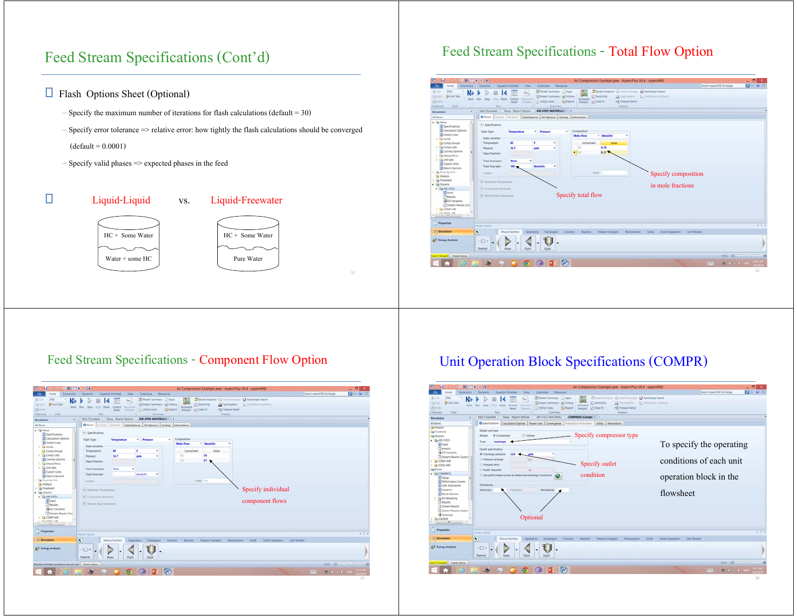# Feed Stream Specifications (Cont'd)

- □ Flash Options Sheet (Optional)
	- $-$  Specify the maximum number of iterations for flash calculations (default = 30)
	- Specify error tolerance => relative error: how tightly the flash calculations should be converged
	- $(default = 0.0001)$
	- Specify valid phases => expected phases in the feed



### Feed Stream Specifications - Total Flow Option



#### Feed Stream Specifications - Component Flow Option

| <b>Tile</b><br><b>Home</b>                                                                                                                  | 2.14                                                                       | Equation Oriented<br>View                                                               |                       | Customize Resources                                                                      |                                         | Air Compression Example.apw - Aspen Plus V8.4 - aspenONE                                                                     |                                          | Search aspenONE Exchange | $- 08$<br>四〇セロ |
|---------------------------------------------------------------------------------------------------------------------------------------------|----------------------------------------------------------------------------|-----------------------------------------------------------------------------------------|-----------------------|------------------------------------------------------------------------------------------|-----------------------------------------|------------------------------------------------------------------------------------------------------------------------------|------------------------------------------|--------------------------|----------------|
| <b>Economics</b><br>& Cit.<br><b>ENG</b><br>N<br>gle Unit Sett<br><b>ZaCide</b><br>Next Run<br><b>25 Partie</b><br><b>Units</b><br>Olphoura | Dynamics<br>State<br>Flure.                                                | M <sub>2</sub><br>Since Reset Control<br><b>Recorded M</b><br><b>Panel</b><br>Designed. | <b>In Unity Costs</b> | 25 Model Summary   Input<br>3 Stream Summary . W. History<br><b>El Report</b><br>Summary | n<br>Artivated<br>Analysis Let Data Fit | Stream Analysis" (2) Heal Exchanger: NJ Azecbope Search<br>S Senitivity<br>J. Fiate System<br><2 Pressure Relief<br>Analysis | <b>B. Destator Synthesis</b>             |                          |                |
| Simulation                                                                                                                                  | Main Flowsteet :   Setup - Report Options :                                |                                                                                         |                       | AIR-FEED OMATERIAL)                                                                      |                                         |                                                                                                                              |                                          |                          |                |
| All hems                                                                                                                                    | O Mixed C Solid NC Solid Hain Options   Co Options   Costing   Information |                                                                                         |                       |                                                                                          |                                         |                                                                                                                              |                                          |                          |                |
| $\triangle$ $\triangle$ Setup<br><b>B</b> Specifications                                                                                    | - Specifications                                                           |                                                                                         |                       |                                                                                          |                                         |                                                                                                                              |                                          |                          |                |
| <b>B</b> Calculation Clotions                                                                                                               | <b>Flash Type:</b>                                                         | Temperature                                                                             | · Pressure            | ٠                                                                                        | Composition                             |                                                                                                                              |                                          |                          |                |
| <b>G</b> : Stream Clars<br>+ Ela Solida                                                                                                     | State variables                                                            |                                                                                         |                       |                                                                                          | <b>Mole-Flow</b>                        | <b>Henal/he</b>                                                                                                              |                                          |                          |                |
| Comp-Groups                                                                                                                                 | Temperature:                                                               | 60                                                                                      | ×                     | ٠                                                                                        | Component                               | <b>Value</b>                                                                                                                 |                                          |                          |                |
| I G Comp-Lists                                                                                                                              | <b>Pressure:</b>                                                           | 14.7                                                                                    | psis                  | ٠                                                                                        | laz                                     | T3                                                                                                                           |                                          |                          |                |
| Costing Options<br>1 Co Stream Price                                                                                                        | Vapor fraction:                                                            |                                                                                         |                       |                                                                                          | cz.                                     | 21                                                                                                                           |                                          |                          |                |
| + Da Unit Sets                                                                                                                              | Total flow basic                                                           | Mole                                                                                    | ٠                     |                                                                                          |                                         |                                                                                                                              |                                          |                          |                |
| Gustom Units                                                                                                                                | Total flow rate:                                                           |                                                                                         | <b>Band</b> (fur      | ٠                                                                                        |                                         |                                                                                                                              |                                          |                          |                |
| <b>G</b> Report Options<br>1 B Property Sets                                                                                                |                                                                            |                                                                                         |                       |                                                                                          |                                         | Total: 100                                                                                                                   |                                          |                          |                |
| Analysis                                                                                                                                    | Scheen                                                                     |                                                                                         |                       | ×                                                                                        |                                         |                                                                                                                              |                                          |                          |                |
| <b>Dig Flowsheet</b>                                                                                                                        | (w) Automobile proposalized                                                |                                                                                         |                       |                                                                                          |                                         |                                                                                                                              | Specify individual                       |                          |                |
| 4 Lig Streams                                                                                                                               | v / Component Attributes                                                   |                                                                                         |                       |                                                                                          |                                         |                                                                                                                              |                                          |                          |                |
| a) Input                                                                                                                                    |                                                                            |                                                                                         |                       |                                                                                          |                                         |                                                                                                                              | component flows                          |                          |                |
| <b>CA Results</b>                                                                                                                           | $\leftarrow$ <i>Particle line Distribution</i>                             |                                                                                         |                       |                                                                                          |                                         |                                                                                                                              |                                          |                          |                |
| <b>ED</b> ED Variables<br>Stream Results (Can                                                                                               |                                                                            |                                                                                         |                       |                                                                                          |                                         |                                                                                                                              |                                          |                          |                |
| $+$ $-$ COMP-AR                                                                                                                             |                                                                            |                                                                                         |                       |                                                                                          |                                         |                                                                                                                              |                                          |                          |                |
| $rac{m}{n}$ cross and<br>$\rightarrow$                                                                                                      |                                                                            |                                                                                         |                       |                                                                                          |                                         |                                                                                                                              |                                          |                          |                |
|                                                                                                                                             |                                                                            |                                                                                         |                       |                                                                                          |                                         |                                                                                                                              |                                          |                          |                |
| Properties                                                                                                                                  | Mistel Paiette                                                             |                                                                                         |                       |                                                                                          |                                         |                                                                                                                              |                                          |                          | $-1.8$         |
| Smithtin                                                                                                                                    | $\overline{\mathbf{N}}$                                                    | Mixers/Splitters                                                                        | Separators:           | <b>Extrangers</b>                                                                        | Column Reachors                         | Pressure Changers                                                                                                            | Manipulators Spilds<br>Solids Separators | : User Models            |                |
|                                                                                                                                             |                                                                            |                                                                                         |                       |                                                                                          |                                         |                                                                                                                              |                                          |                          |                |
| & U Energy Analysis                                                                                                                         | $\neg$<br><b>Material</b>                                                  | <b>Misson</b><br><b>PSpitt</b>                                                          | SSpitt                |                                                                                          |                                         |                                                                                                                              |                                          |                          |                |
|                                                                                                                                             |                                                                            |                                                                                         |                       |                                                                                          |                                         |                                                                                                                              |                                          |                          |                |
| Results Available (problem not yet nati) Check Status                                                                                       |                                                                            |                                                                                         |                       |                                                                                          |                                         |                                                                                                                              |                                          | $nom - θ$                | $-1.0$         |

## Unit Operation Block Specifications (COMPR)

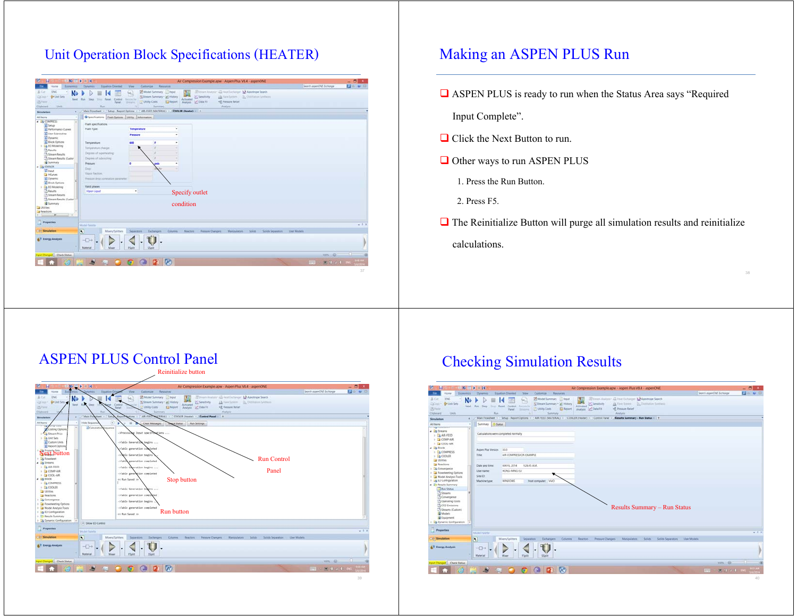### Unit Operation Block Specifications (HEATER)

| <b>130 U D</b><br>Search aspenCIVE Exchange<br><b>Dynamics</b><br><b>Equation Oriented</b><br>View<br>Custompe Resources<br>Home<br>Economics.<br><b>DVI</b><br>Model Sammary   Input<br>School Anders All Heat Exterior N Anotope Search<br>N<br>ш.<br><b>G</b> +Unit Sets<br>Sisteam Summary + all History<br>S Senitivity<br>13. He's Setern  26. Outstand Serbass.<br>Next Run Step<br>Activated<br>Reset Control Firmmille<br>Titre:<br><3. Pressure Ratial<br>25 Ferre<br>Insure Unity Com<br><b>III</b> Report<br>Analysis C Data Fit<br>Panel .<br>Run.<br>Analysis.<br><b>Livering</b><br>Sammary<br>×.<br>Setup - Report Options = / AIR-FEED (MATERIAL) = / COOLER (Heater) = +<br>Main Flowsheet :<br>Simulation<br>٠<br>G Specification   Flash Options   USBy   Information<br>All forms<br>. LA COMPRESS<br>۰<br>Flash specifications<br>al Setup<br>Temperature<br>Flash Type:<br>٠<br><b>SE Performance Curves</b><br>Gi User Subroutine<br>Pressure<br>٠<br><b>CO</b> Dynamic<br>G Block Options<br>600<br>٠<br>Temperature:<br>٠<br>I La EO Modeling<br>Temperature change:<br>×<br><sup>7</sup> Fends<br>Degmin of superheating:<br><b>Billmam Results</b><br>A Stream Results (Custor)<br>Degrees of subcooling:<br><b>Bally</b><br><b>Pressure:</b><br>۰<br>٠<br>psia<br><b>A B COOLER</b><br>Dutzi<br>a <i>Hout</i><br>Vapoi fraction.<br>La HCurves<br><b>Q</b> Dynamic<br>Pressure drop conviution personates:<br><b>G</b> Bock Options<br>Valid phases<br>1 Da EO Modeling<br><b>Th</b> Fenutts<br>$\ddot{}$<br><b>Vignor-Liquid</b><br>Specify outlet<br>Stream Results<br>Stream Results (Custor)<br>condition<br><b>B</b> Summary<br><b>Utilies</b><br><b>A</b> Reactions<br>$\sim$<br>$-$<br><b>Properties</b><br>$-11$<br>Model Paretta<br>$\overline{N}$<br><b>Call Services</b><br>Mixers/Splitters<br>Columns Reactors Pressure/Dangers Manipulators Solids Scilids Separators Date Models<br><b><i><u>Белигатата</u></i></b><br>Eschangers<br><b>AV Energy Analysis</b><br>$ \rightarrow$<br>Material<br>Morer<br><b>PSpitt</b><br>SSpin<br>$\sim$<br><b>мл. Ө.</b><br>rout Changed Check Status<br>GOPA<br>لغل<br><b>SEE</b><br><b>O</b><br>第14千円<br><b>JUPE 10</b> | $N = 14$<br>н |  | Air Compression Example.apw - Aspen Plus VB.4 - aspenONE | $- 512$ |
|---------------------------------------------------------------------------------------------------------------------------------------------------------------------------------------------------------------------------------------------------------------------------------------------------------------------------------------------------------------------------------------------------------------------------------------------------------------------------------------------------------------------------------------------------------------------------------------------------------------------------------------------------------------------------------------------------------------------------------------------------------------------------------------------------------------------------------------------------------------------------------------------------------------------------------------------------------------------------------------------------------------------------------------------------------------------------------------------------------------------------------------------------------------------------------------------------------------------------------------------------------------------------------------------------------------------------------------------------------------------------------------------------------------------------------------------------------------------------------------------------------------------------------------------------------------------------------------------------------------------------------------------------------------------------------------------------------------------------------------------------------------------------------------------------------------------------------------------------------------------------------------------------------------------------------------------------------------------------------------------------------------------------------------------------------------------------------------------------------------------------------------------------------------------------------------------------------|---------------|--|----------------------------------------------------------|---------|
|                                                                                                                                                                                                                                                                                                                                                                                                                                                                                                                                                                                                                                                                                                                                                                                                                                                                                                                                                                                                                                                                                                                                                                                                                                                                                                                                                                                                                                                                                                                                                                                                                                                                                                                                                                                                                                                                                                                                                                                                                                                                                                                                                                                                         |               |  |                                                          |         |
|                                                                                                                                                                                                                                                                                                                                                                                                                                                                                                                                                                                                                                                                                                                                                                                                                                                                                                                                                                                                                                                                                                                                                                                                                                                                                                                                                                                                                                                                                                                                                                                                                                                                                                                                                                                                                                                                                                                                                                                                                                                                                                                                                                                                         | A Cit         |  |                                                          |         |
|                                                                                                                                                                                                                                                                                                                                                                                                                                                                                                                                                                                                                                                                                                                                                                                                                                                                                                                                                                                                                                                                                                                                                                                                                                                                                                                                                                                                                                                                                                                                                                                                                                                                                                                                                                                                                                                                                                                                                                                                                                                                                                                                                                                                         | DOM:          |  |                                                          |         |
|                                                                                                                                                                                                                                                                                                                                                                                                                                                                                                                                                                                                                                                                                                                                                                                                                                                                                                                                                                                                                                                                                                                                                                                                                                                                                                                                                                                                                                                                                                                                                                                                                                                                                                                                                                                                                                                                                                                                                                                                                                                                                                                                                                                                         |               |  |                                                          |         |
|                                                                                                                                                                                                                                                                                                                                                                                                                                                                                                                                                                                                                                                                                                                                                                                                                                                                                                                                                                                                                                                                                                                                                                                                                                                                                                                                                                                                                                                                                                                                                                                                                                                                                                                                                                                                                                                                                                                                                                                                                                                                                                                                                                                                         | Cipboard      |  |                                                          |         |
|                                                                                                                                                                                                                                                                                                                                                                                                                                                                                                                                                                                                                                                                                                                                                                                                                                                                                                                                                                                                                                                                                                                                                                                                                                                                                                                                                                                                                                                                                                                                                                                                                                                                                                                                                                                                                                                                                                                                                                                                                                                                                                                                                                                                         |               |  |                                                          |         |
|                                                                                                                                                                                                                                                                                                                                                                                                                                                                                                                                                                                                                                                                                                                                                                                                                                                                                                                                                                                                                                                                                                                                                                                                                                                                                                                                                                                                                                                                                                                                                                                                                                                                                                                                                                                                                                                                                                                                                                                                                                                                                                                                                                                                         |               |  |                                                          |         |
|                                                                                                                                                                                                                                                                                                                                                                                                                                                                                                                                                                                                                                                                                                                                                                                                                                                                                                                                                                                                                                                                                                                                                                                                                                                                                                                                                                                                                                                                                                                                                                                                                                                                                                                                                                                                                                                                                                                                                                                                                                                                                                                                                                                                         |               |  |                                                          |         |
|                                                                                                                                                                                                                                                                                                                                                                                                                                                                                                                                                                                                                                                                                                                                                                                                                                                                                                                                                                                                                                                                                                                                                                                                                                                                                                                                                                                                                                                                                                                                                                                                                                                                                                                                                                                                                                                                                                                                                                                                                                                                                                                                                                                                         |               |  |                                                          |         |
|                                                                                                                                                                                                                                                                                                                                                                                                                                                                                                                                                                                                                                                                                                                                                                                                                                                                                                                                                                                                                                                                                                                                                                                                                                                                                                                                                                                                                                                                                                                                                                                                                                                                                                                                                                                                                                                                                                                                                                                                                                                                                                                                                                                                         |               |  |                                                          |         |
|                                                                                                                                                                                                                                                                                                                                                                                                                                                                                                                                                                                                                                                                                                                                                                                                                                                                                                                                                                                                                                                                                                                                                                                                                                                                                                                                                                                                                                                                                                                                                                                                                                                                                                                                                                                                                                                                                                                                                                                                                                                                                                                                                                                                         |               |  |                                                          |         |
|                                                                                                                                                                                                                                                                                                                                                                                                                                                                                                                                                                                                                                                                                                                                                                                                                                                                                                                                                                                                                                                                                                                                                                                                                                                                                                                                                                                                                                                                                                                                                                                                                                                                                                                                                                                                                                                                                                                                                                                                                                                                                                                                                                                                         |               |  |                                                          |         |
|                                                                                                                                                                                                                                                                                                                                                                                                                                                                                                                                                                                                                                                                                                                                                                                                                                                                                                                                                                                                                                                                                                                                                                                                                                                                                                                                                                                                                                                                                                                                                                                                                                                                                                                                                                                                                                                                                                                                                                                                                                                                                                                                                                                                         |               |  |                                                          |         |
|                                                                                                                                                                                                                                                                                                                                                                                                                                                                                                                                                                                                                                                                                                                                                                                                                                                                                                                                                                                                                                                                                                                                                                                                                                                                                                                                                                                                                                                                                                                                                                                                                                                                                                                                                                                                                                                                                                                                                                                                                                                                                                                                                                                                         |               |  |                                                          |         |
|                                                                                                                                                                                                                                                                                                                                                                                                                                                                                                                                                                                                                                                                                                                                                                                                                                                                                                                                                                                                                                                                                                                                                                                                                                                                                                                                                                                                                                                                                                                                                                                                                                                                                                                                                                                                                                                                                                                                                                                                                                                                                                                                                                                                         |               |  |                                                          |         |
|                                                                                                                                                                                                                                                                                                                                                                                                                                                                                                                                                                                                                                                                                                                                                                                                                                                                                                                                                                                                                                                                                                                                                                                                                                                                                                                                                                                                                                                                                                                                                                                                                                                                                                                                                                                                                                                                                                                                                                                                                                                                                                                                                                                                         |               |  |                                                          |         |
|                                                                                                                                                                                                                                                                                                                                                                                                                                                                                                                                                                                                                                                                                                                                                                                                                                                                                                                                                                                                                                                                                                                                                                                                                                                                                                                                                                                                                                                                                                                                                                                                                                                                                                                                                                                                                                                                                                                                                                                                                                                                                                                                                                                                         |               |  |                                                          |         |
|                                                                                                                                                                                                                                                                                                                                                                                                                                                                                                                                                                                                                                                                                                                                                                                                                                                                                                                                                                                                                                                                                                                                                                                                                                                                                                                                                                                                                                                                                                                                                                                                                                                                                                                                                                                                                                                                                                                                                                                                                                                                                                                                                                                                         |               |  |                                                          |         |
|                                                                                                                                                                                                                                                                                                                                                                                                                                                                                                                                                                                                                                                                                                                                                                                                                                                                                                                                                                                                                                                                                                                                                                                                                                                                                                                                                                                                                                                                                                                                                                                                                                                                                                                                                                                                                                                                                                                                                                                                                                                                                                                                                                                                         |               |  |                                                          |         |
|                                                                                                                                                                                                                                                                                                                                                                                                                                                                                                                                                                                                                                                                                                                                                                                                                                                                                                                                                                                                                                                                                                                                                                                                                                                                                                                                                                                                                                                                                                                                                                                                                                                                                                                                                                                                                                                                                                                                                                                                                                                                                                                                                                                                         |               |  |                                                          |         |
|                                                                                                                                                                                                                                                                                                                                                                                                                                                                                                                                                                                                                                                                                                                                                                                                                                                                                                                                                                                                                                                                                                                                                                                                                                                                                                                                                                                                                                                                                                                                                                                                                                                                                                                                                                                                                                                                                                                                                                                                                                                                                                                                                                                                         |               |  |                                                          |         |
|                                                                                                                                                                                                                                                                                                                                                                                                                                                                                                                                                                                                                                                                                                                                                                                                                                                                                                                                                                                                                                                                                                                                                                                                                                                                                                                                                                                                                                                                                                                                                                                                                                                                                                                                                                                                                                                                                                                                                                                                                                                                                                                                                                                                         |               |  |                                                          |         |
|                                                                                                                                                                                                                                                                                                                                                                                                                                                                                                                                                                                                                                                                                                                                                                                                                                                                                                                                                                                                                                                                                                                                                                                                                                                                                                                                                                                                                                                                                                                                                                                                                                                                                                                                                                                                                                                                                                                                                                                                                                                                                                                                                                                                         |               |  |                                                          |         |
|                                                                                                                                                                                                                                                                                                                                                                                                                                                                                                                                                                                                                                                                                                                                                                                                                                                                                                                                                                                                                                                                                                                                                                                                                                                                                                                                                                                                                                                                                                                                                                                                                                                                                                                                                                                                                                                                                                                                                                                                                                                                                                                                                                                                         |               |  |                                                          |         |
|                                                                                                                                                                                                                                                                                                                                                                                                                                                                                                                                                                                                                                                                                                                                                                                                                                                                                                                                                                                                                                                                                                                                                                                                                                                                                                                                                                                                                                                                                                                                                                                                                                                                                                                                                                                                                                                                                                                                                                                                                                                                                                                                                                                                         |               |  |                                                          |         |
|                                                                                                                                                                                                                                                                                                                                                                                                                                                                                                                                                                                                                                                                                                                                                                                                                                                                                                                                                                                                                                                                                                                                                                                                                                                                                                                                                                                                                                                                                                                                                                                                                                                                                                                                                                                                                                                                                                                                                                                                                                                                                                                                                                                                         |               |  |                                                          |         |
|                                                                                                                                                                                                                                                                                                                                                                                                                                                                                                                                                                                                                                                                                                                                                                                                                                                                                                                                                                                                                                                                                                                                                                                                                                                                                                                                                                                                                                                                                                                                                                                                                                                                                                                                                                                                                                                                                                                                                                                                                                                                                                                                                                                                         |               |  |                                                          |         |
|                                                                                                                                                                                                                                                                                                                                                                                                                                                                                                                                                                                                                                                                                                                                                                                                                                                                                                                                                                                                                                                                                                                                                                                                                                                                                                                                                                                                                                                                                                                                                                                                                                                                                                                                                                                                                                                                                                                                                                                                                                                                                                                                                                                                         |               |  |                                                          |         |
|                                                                                                                                                                                                                                                                                                                                                                                                                                                                                                                                                                                                                                                                                                                                                                                                                                                                                                                                                                                                                                                                                                                                                                                                                                                                                                                                                                                                                                                                                                                                                                                                                                                                                                                                                                                                                                                                                                                                                                                                                                                                                                                                                                                                         |               |  |                                                          |         |
|                                                                                                                                                                                                                                                                                                                                                                                                                                                                                                                                                                                                                                                                                                                                                                                                                                                                                                                                                                                                                                                                                                                                                                                                                                                                                                                                                                                                                                                                                                                                                                                                                                                                                                                                                                                                                                                                                                                                                                                                                                                                                                                                                                                                         |               |  |                                                          |         |
|                                                                                                                                                                                                                                                                                                                                                                                                                                                                                                                                                                                                                                                                                                                                                                                                                                                                                                                                                                                                                                                                                                                                                                                                                                                                                                                                                                                                                                                                                                                                                                                                                                                                                                                                                                                                                                                                                                                                                                                                                                                                                                                                                                                                         |               |  |                                                          |         |
|                                                                                                                                                                                                                                                                                                                                                                                                                                                                                                                                                                                                                                                                                                                                                                                                                                                                                                                                                                                                                                                                                                                                                                                                                                                                                                                                                                                                                                                                                                                                                                                                                                                                                                                                                                                                                                                                                                                                                                                                                                                                                                                                                                                                         |               |  |                                                          |         |
|                                                                                                                                                                                                                                                                                                                                                                                                                                                                                                                                                                                                                                                                                                                                                                                                                                                                                                                                                                                                                                                                                                                                                                                                                                                                                                                                                                                                                                                                                                                                                                                                                                                                                                                                                                                                                                                                                                                                                                                                                                                                                                                                                                                                         |               |  |                                                          |         |
|                                                                                                                                                                                                                                                                                                                                                                                                                                                                                                                                                                                                                                                                                                                                                                                                                                                                                                                                                                                                                                                                                                                                                                                                                                                                                                                                                                                                                                                                                                                                                                                                                                                                                                                                                                                                                                                                                                                                                                                                                                                                                                                                                                                                         |               |  |                                                          |         |
|                                                                                                                                                                                                                                                                                                                                                                                                                                                                                                                                                                                                                                                                                                                                                                                                                                                                                                                                                                                                                                                                                                                                                                                                                                                                                                                                                                                                                                                                                                                                                                                                                                                                                                                                                                                                                                                                                                                                                                                                                                                                                                                                                                                                         |               |  |                                                          |         |
|                                                                                                                                                                                                                                                                                                                                                                                                                                                                                                                                                                                                                                                                                                                                                                                                                                                                                                                                                                                                                                                                                                                                                                                                                                                                                                                                                                                                                                                                                                                                                                                                                                                                                                                                                                                                                                                                                                                                                                                                                                                                                                                                                                                                         |               |  |                                                          |         |
|                                                                                                                                                                                                                                                                                                                                                                                                                                                                                                                                                                                                                                                                                                                                                                                                                                                                                                                                                                                                                                                                                                                                                                                                                                                                                                                                                                                                                                                                                                                                                                                                                                                                                                                                                                                                                                                                                                                                                                                                                                                                                                                                                                                                         |               |  |                                                          |         |
|                                                                                                                                                                                                                                                                                                                                                                                                                                                                                                                                                                                                                                                                                                                                                                                                                                                                                                                                                                                                                                                                                                                                                                                                                                                                                                                                                                                                                                                                                                                                                                                                                                                                                                                                                                                                                                                                                                                                                                                                                                                                                                                                                                                                         |               |  |                                                          |         |
|                                                                                                                                                                                                                                                                                                                                                                                                                                                                                                                                                                                                                                                                                                                                                                                                                                                                                                                                                                                                                                                                                                                                                                                                                                                                                                                                                                                                                                                                                                                                                                                                                                                                                                                                                                                                                                                                                                                                                                                                                                                                                                                                                                                                         |               |  |                                                          |         |
|                                                                                                                                                                                                                                                                                                                                                                                                                                                                                                                                                                                                                                                                                                                                                                                                                                                                                                                                                                                                                                                                                                                                                                                                                                                                                                                                                                                                                                                                                                                                                                                                                                                                                                                                                                                                                                                                                                                                                                                                                                                                                                                                                                                                         |               |  |                                                          |         |

## Making an ASPEN PLUS Run

**ASPEN PLUS** is ready to run when the Status Area says "Required

Input Complete".

- $\Box$  Click the Next Button to run.
- **□** Other ways to run ASPEN PLUS
	- 1. Press the Run Button.
	- 2. Press F5.
- $\Box$  The Reinitialize Button will purge all simulation results and reinitialize calculations.

#### ASPEN PLUS Control Panel

Reinitialize button



## Checking Simulation Results